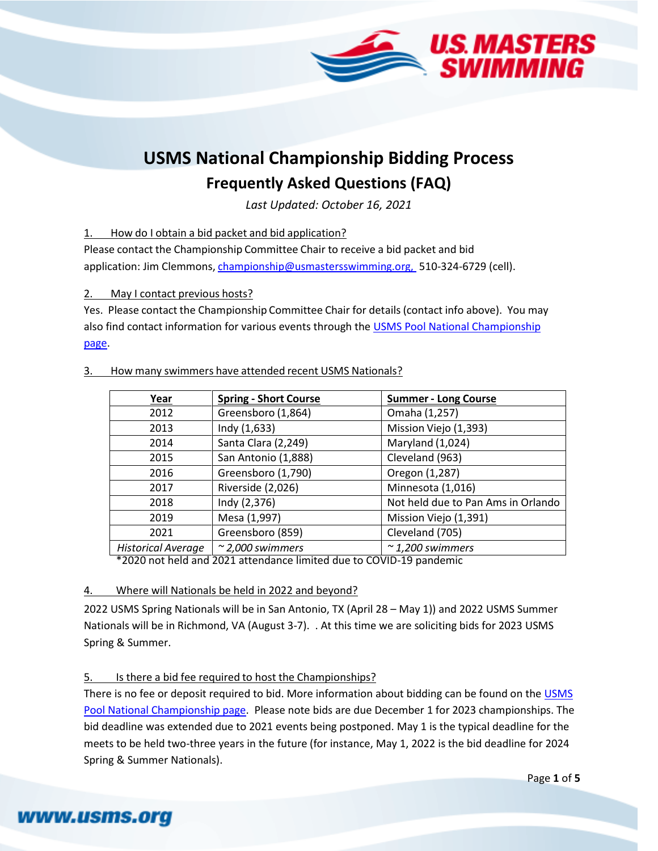

# **USMS National Championship Bidding Process Frequently Asked Questions (FAQ)**

*Last Updated: October 16, 2021*

1. How do I obtain a bid packet and bid application?

Please contact the Championship Committee Chair to receive a bid packet and bid application: Jim Clemmons, [championship@usmastersswimming.org,](mailto:championship@usmastersswimming.org,) 510-324-6729 (cell).

2. May I contact previous hosts?

Yes. Please contact the Championship Committee Chair for details (contact info above). You may also find contact information for various events through the [USMS Pool National Championship](https://www.usms.org/events/national-championships/pool-national-championships)  [page.](https://www.usms.org/events/national-championships/pool-national-championships)

| Year                      | <b>Spring - Short Course</b> | <b>Summer - Long Course</b>        |  |
|---------------------------|------------------------------|------------------------------------|--|
| 2012                      | Greensboro (1,864)           | Omaha (1,257)                      |  |
| 2013                      | Indy $(1,633)$               | Mission Viejo (1,393)              |  |
| 2014                      | Santa Clara (2,249)          | Maryland (1,024)                   |  |
| 2015                      | San Antonio (1,888)          | Cleveland (963)                    |  |
| 2016                      | Greensboro (1,790)           | Oregon (1,287)                     |  |
| 2017                      | Riverside (2,026)            | Minnesota (1,016)                  |  |
| 2018                      | Indy (2,376)                 | Not held due to Pan Ams in Orlando |  |
| 2019                      | Mesa (1,997)                 | Mission Viejo (1,391)              |  |
| 2021                      | Greensboro (859)             | Cleveland (705)                    |  |
| <b>Historical Average</b> | $\approx$ 2,000 swimmers     | $\sim$ 1,200 swimmers              |  |

3. How many swimmers have attended recent USMS Nationals?

\*2020 not held and 2021 attendance limited due to COVID-19 pandemic

4. Where will Nationals be held in 2022 and beyond?

2022 USMS Spring Nationals will be in San Antonio, TX (April 28 – May 1)) and 2022 USMS Summer Nationals will be in Richmond, VA (August 3-7). . At this time we are soliciting bids for 2023 USMS Spring & Summer.

## 5. Is there a bid fee required to host the Championships?

www.usms.org

There is no fee or deposit required to bid. More information about bidding can be found on th[e USMS](https://www.usms.org/events/national-championships/pool-national-championships)  [Pool National Championship page.](https://www.usms.org/events/national-championships/pool-national-championships) Please note bids are due December 1 for 2023 championships. The bid deadline was extended due to 2021 events being postponed. May 1 is the typical deadline for the meets to be held two-three years in the future (for instance, May 1, 2022 is the bid deadline for 2024 Spring & Summer Nationals).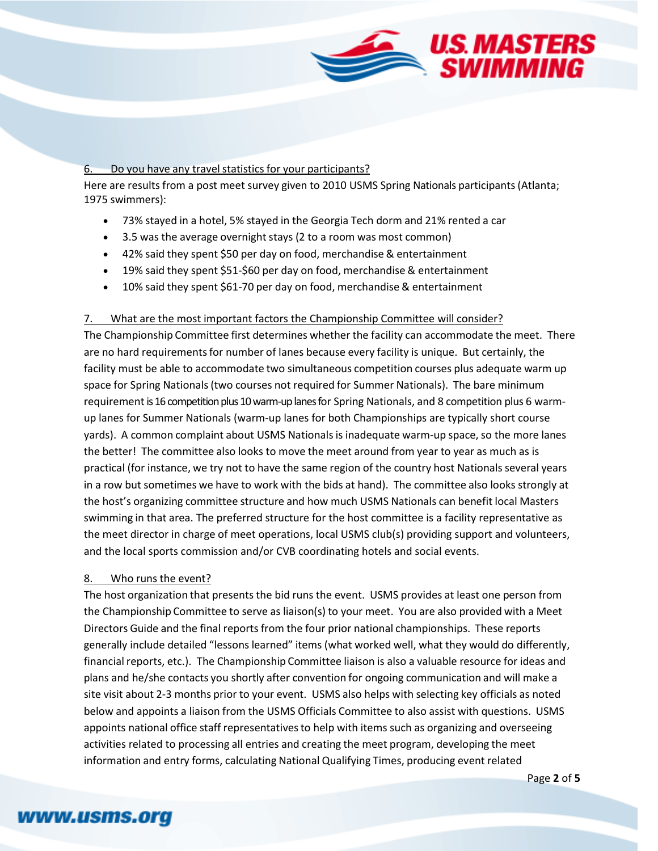

#### 6. Do you have any travel statistics for your participants?

Here are results from a post meet survey given to 2010 USMS Spring Nationals participants (Atlanta; 1975 swimmers):

- 73% stayed in a hotel, 5% stayed in the Georgia Tech dorm and 21% rented a car
- 3.5 was the average overnight stays (2 to a room was most common)
- 42% said they spent \$50 per day on food, merchandise& entertainment
- 19% said they spent \$51‐\$60 per day on food, merchandise & entertainment
- 10% said they spent \$61‐70 per day on food, merchandise & entertainment

#### 7. What are the most important factors the Championship Committee will consider?

The Championship Committee first determines whether the facility can accommodate the meet. There are no hard requirements for number of lanes because every facility is unique. But certainly, the facility must be able to accommodate two simultaneous competition courses plus adequate warm up space for Spring Nationals(two courses not required for Summer Nationals). The bare minimum requirement is 16 competition plus 10 warm-up lanes for Spring Nationals, and 8 competition plus 6 warmup lanes for Summer Nationals (warm-up lanes for both Championships are typically short course yards). A common complaint about USMS Nationalsis inadequate warm‐up space, so the more lanes the better! The committee also looks to move the meet around from year to year as much as is practical (for instance, we try not to have the same region of the country host Nationals several years in a row but sometimes we have to work with the bids at hand). The committee also looks strongly at the host's organizing committee structure and how much USMS Nationals can benefit local Masters swimming in that area. The preferred structure for the host committee is a facility representative as the meet director in charge of meet operations, local USMS club(s) providing support and volunteers, and the local sports commission and/or CVB coordinating hotels and social events.

#### 8. Who runs the event?

The host organization that presents the bid runs the event. USMS provides at least one person from the Championship Committee to serve as liaison(s) to your meet. You are also provided with a Meet Directors Guide and the final reports from the four prior national championships. These reports generally include detailed "lessons learned" items (what worked well, what they would do differently, financial reports, etc.). The Championship Committee liaison is also a valuable resource for ideas and plans and he/she contacts you shortly after convention for ongoing communication and will make a site visit about 2‐3 months prior to your event. USMS also helps with selecting key officials as noted below and appoints a liaison from the USMS Officials Committee to also assist with questions. USMS appoints national office staff representativesto help with items such as organizing and overseeing activities related to processing all entries and creating the meet program, developing the meet information and entry forms, calculating National Qualifying Times, producing event related

# www.usms.org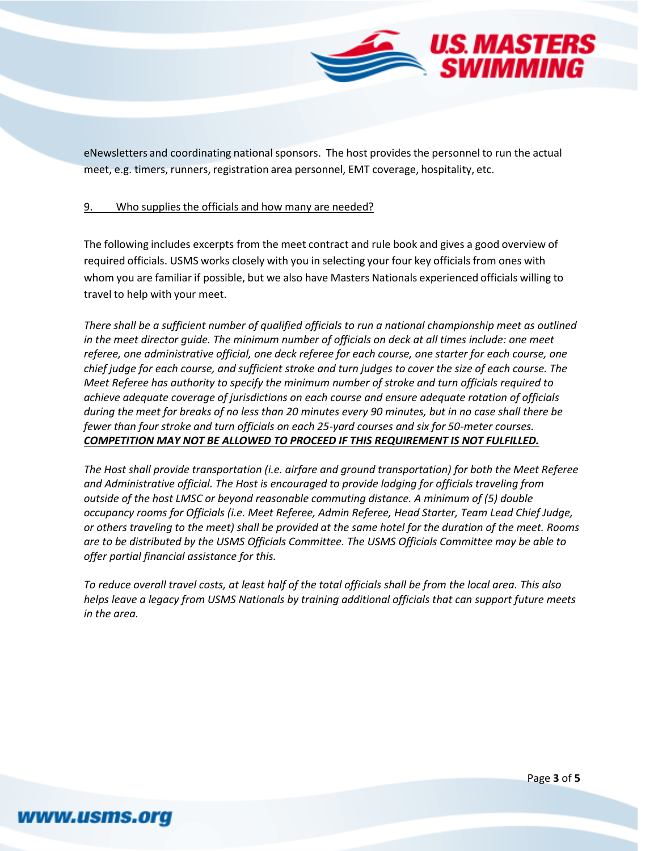

eNewsletters and coordinating national sponsors. The host provides the personnel to run the actual meet, e.g. timers, runners, registration area personnel, EMT coverage, hospitality, etc.

#### 9. Who supplies the officials and how many are needed?

The following includes excerpts from the meet contract and rule book and gives a good overview of required officials. USMS works closely with you in selecting your four key officials from ones with whom you are familiar if possible, but we also have Masters Nationals experienced officials willing to travel to help with your meet.

*There shall be a sufficient number of qualified officials to run a national championship meet as outlined in the meet director guide. The minimum number of officials on deck at all times include: one meet referee, one administrative official, one deck referee for each course, one starter for each course, one chief judge for each course, and sufficient stroke and turn judges to cover the size of each course. The Meet Referee has authority to specify the minimum number of stroke and turn officials required to achieve adequate coverage of jurisdictions on each course and ensure adequate rotation of officials during the meet for breaks of no less than 20 minutes every 90 minutes, but in no case shall there be fewer than four stroke and turn officials on each 25-yard courses and six for 50-meter courses. COMPETITION MAY NOT BE ALLOWED TO PROCEED IF THIS REQUIREMENT IS NOT FULFILLED.*

*The Host shall provide transportation (i.e. airfare and ground transportation) for both the Meet Referee and Administrative official. The Host is encouraged to provide lodging for officials traveling from outside of the host LMSC or beyond reasonable commuting distance. A minimum of (5) double occupancy rooms for Officials (i.e. Meet Referee, Admin Referee, Head Starter, Team Lead Chief Judge, or others traveling to the meet) shall be provided at the same hotel for the duration of the meet. Rooms are to be distributed by the USMS Officials Committee. The USMS Officials Committee may be able to offer partial financial assistance for this.*

*To reduce overall travel costs, at least half of the total officials shall be from the local area. This also helps leave a legacy from USMS Nationals by training additional officials that can support future meets in the area.*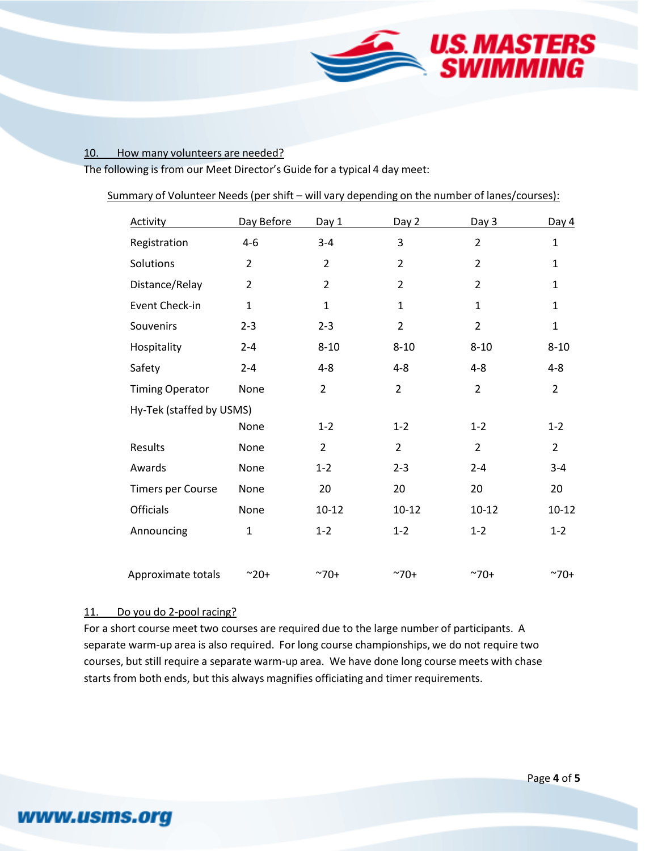

### 10. How many volunteers are needed?

The following is from our Meet Director's Guide for a typical 4 day meet:

| <b>Activity</b>          | Day Before     | Day 1          | Day 2          | Day 3          | Day $4$        |
|--------------------------|----------------|----------------|----------------|----------------|----------------|
| Registration             | $4 - 6$        | $3 - 4$        | 3              | $\overline{2}$ | $\mathbf 1$    |
| Solutions                | $\overline{2}$ | $\overline{2}$ | $\overline{2}$ | $\overline{2}$ | $\mathbf{1}$   |
| Distance/Relay           | $\overline{2}$ | $\overline{2}$ | $\overline{2}$ | $\overline{2}$ | $\mathbf{1}$   |
| Event Check-in           | $\mathbf{1}$   | $\mathbf{1}$   | $\mathbf{1}$   | $\mathbf{1}$   | $\mathbf{1}$   |
| Souvenirs                | $2 - 3$        | $2 - 3$        | $\overline{2}$ | $\overline{2}$ | $\mathbf{1}$   |
| Hospitality              | $2 - 4$        | $8 - 10$       | $8 - 10$       | $8 - 10$       | $8 - 10$       |
| Safety                   | $2 - 4$        | $4 - 8$        | $4 - 8$        | $4 - 8$        | $4 - 8$        |
| <b>Timing Operator</b>   | None           | $\overline{2}$ | $\overline{2}$ | $\overline{2}$ | $\overline{2}$ |
| Hy-Tek (staffed by USMS) |                |                |                |                |                |
|                          | None           | $1 - 2$        | $1 - 2$        | $1 - 2$        | $1 - 2$        |
| Results                  | None           | $\overline{2}$ | $\overline{2}$ | $\overline{2}$ | $\overline{2}$ |
| Awards                   | None           | $1 - 2$        | $2 - 3$        | $2 - 4$        | $3 - 4$        |
| Timers per Course        | None           | 20             | 20             | 20             | 20             |
| Officials                | None           | $10 - 12$      | $10 - 12$      | $10 - 12$      | $10 - 12$      |
| Announcing               | $\mathbf{1}$   | $1 - 2$        | $1 - 2$        | $1 - 2$        | $1 - 2$        |
|                          |                |                |                |                |                |
| Approximate totals       | $^{\sim}20+$   | $^{\sim}70+$   | $^{\sim}70+$   | $^{\sim}70+$   | $^{\sim}70+$   |

#### 11. Do you do 2-pool racing?

www.usms.org

For a short course meet two courses are required due to the large number of participants. A separate warm-up area is also required. For long course championships, we do not require two courses, but still require a separate warm‐up area. We have done long course meets with chase starts from both ends, but this always magnifies officiating and timer requirements.